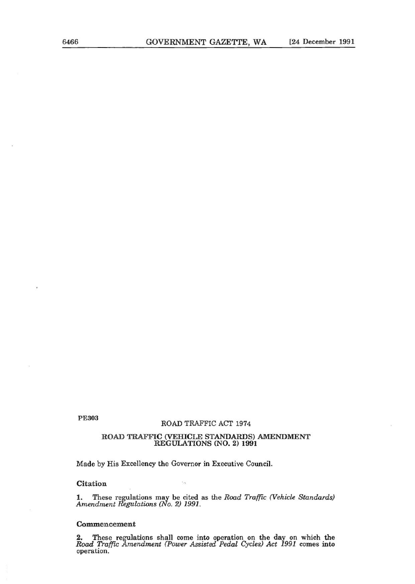PE303

## ROAD TRAFFIC ACT 1974

## **ROAD TRAFFIC (VEHICLE STANDARDS) AMENDMENT REGULATIONS (NO. 2) 1991**

Made by His Excellency the Governor in Executive Council.

**Citation** 

1. These regulations may be cited as the *Road Traffic (Vehicle Standards) Amendment Regulations (No. 2) 1991.* 

## **Commencement**

**2. These regulations shall come into operation on the day on which the**  *Road Traffic Amendment (Power Assisted Pedal Cycles) Act 1991* comes into operation.